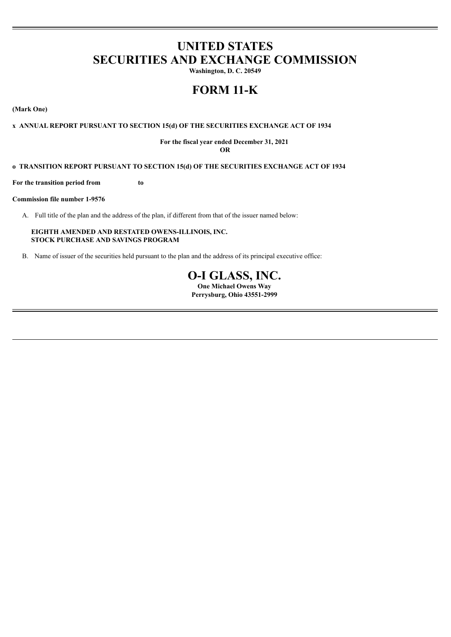# **UNITED STATES SECURITIES AND EXCHANGE COMMISSION**

**Washington, D. C. 20549**

# **FORM 11-K**

**(Mark One)**

# **x ANNUAL REPORT PURSUANT TO SECTION 15(d) OF THE SECURITIES EXCHANGE ACT OF 1934**

#### **For the fiscal year ended December 31, 2021 OR**

#### **o TRANSITION REPORT PURSUANT TO SECTION 15(d) OF THE SECURITIES EXCHANGE ACT OF 1934**

**For the transition period from to**

#### **Commission file number 1-9576**

A. Full title of the plan and the address of the plan, if different from that of the issuer named below:

**EIGHTH AMENDED AND RESTATED OWENS-ILLINOIS, INC. STOCK PURCHASE AND SAVINGS PROGRAM**

B. Name of issuer of the securities held pursuant to the plan and the address of its principal executive office:

# **O-I GLASS, INC.**

**One Michael Owens Way Perrysburg, Ohio 43551-2999**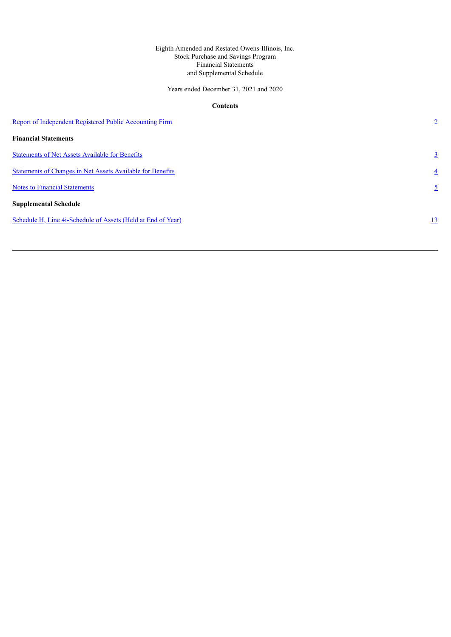# Eighth Amended and Restated Owens-Illinois, Inc. Stock Purchase and Savings Program Financial Statements and Supplemental Schedule

Years ended December 31, 2021 and 2020

# **Contents**

| Report of Independent Registered Public Accounting Firm           | $\overline{2}$ |
|-------------------------------------------------------------------|----------------|
| <b>Financial Statements</b>                                       |                |
| <b>Statements of Net Assets Available for Benefits</b>            | $\overline{3}$ |
| <b>Statements of Changes in Net Assets Available for Benefits</b> | $\overline{4}$ |
| <b>Notes to Financial Statements</b>                              | $\mathfrak{L}$ |
| <b>Supplemental Schedule</b>                                      |                |
| Schedule H, Line 4i-Schedule of Assets (Held at End of Year)      | 13             |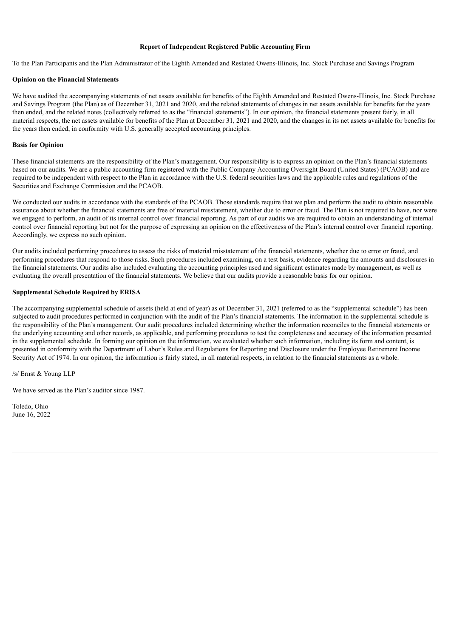#### **Report of Independent Registered Public Accounting Firm**

<span id="page-2-0"></span>To the Plan Participants and the Plan Administrator of the Eighth Amended and Restated Owens-Illinois, Inc. Stock Purchase and Savings Program

#### **Opinion on the Financial Statements**

We have audited the accompanying statements of net assets available for benefits of the Eighth Amended and Restated Owens-Illinois, Inc. Stock Purchase and Savings Program (the Plan) as of December 31, 2021 and 2020, and the related statements of changes in net assets available for benefits for the years then ended, and the related notes (collectively referred to as the "financial statements"). In our opinion, the financial statements present fairly, in all material respects, the net assets available for benefits of the Plan at December 31, 2021 and 2020, and the changes in its net assets available for benefits for the years then ended, in conformity with U.S. generally accepted accounting principles.

# **Basis for Opinion**

These financial statements are the responsibility of the Plan's management. Our responsibility is to express an opinion on the Plan's financial statements based on our audits. We are a public accounting firm registered with the Public Company Accounting Oversight Board (United States) (PCAOB) and are required to be independent with respect to the Plan in accordance with the U.S. federal securities laws and the applicable rules and regulations of the Securities and Exchange Commission and the PCAOB.

We conducted our audits in accordance with the standards of the PCAOB. Those standards require that we plan and perform the audit to obtain reasonable assurance about whether the financial statements are free of material misstatement, whether due to error or fraud. The Plan is not required to have, nor were we engaged to perform, an audit of its internal control over financial reporting. As part of our audits we are required to obtain an understanding of internal control over financial reporting but not for the purpose of expressing an opinion on the effectiveness of the Plan's internal control over financial reporting. Accordingly, we express no such opinion.

Our audits included performing procedures to assess the risks of material misstatement of the financial statements, whether due to error or fraud, and performing procedures that respond to those risks. Such procedures included examining, on a test basis, evidence regarding the amounts and disclosures in the financial statements. Our audits also included evaluating the accounting principles used and significant estimates made by management, as well as evaluating the overall presentation of the financial statements. We believe that our audits provide a reasonable basis for our opinion.

#### **Supplemental Schedule Required by ERISA**

The accompanying supplemental schedule of assets (held at end of year) as of December 31, 2021 (referred to as the "supplemental schedule") has been subjected to audit procedures performed in conjunction with the audit of the Plan's financial statements. The information in the supplemental schedule is the responsibility of the Plan's management. Our audit procedures included determining whether the information reconciles to the financial statements or the underlying accounting and other records, as applicable, and performing procedures to test the completeness and accuracy of the information presented in the supplemental schedule. In forming our opinion on the information, we evaluated whether such information, including its form and content, is presented in conformity with the Department of Labor's Rules and Regulations for Reporting and Disclosure under the Employee Retirement Income Security Act of 1974. In our opinion, the information is fairly stated, in all material respects, in relation to the financial statements as a whole.

/s/ Ernst & Young LLP

We have served as the Plan's auditor since 1987.

Toledo, Ohio June 16, 2022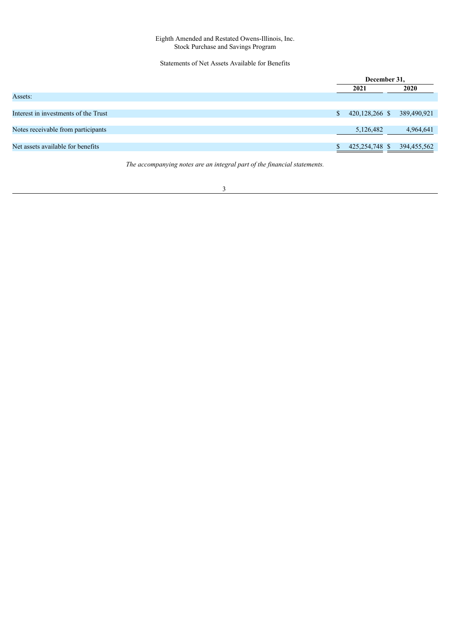# Statements of Net Assets Available for Benefits

<span id="page-3-0"></span>

|                                      | December 31,         |  |             |
|--------------------------------------|----------------------|--|-------------|
|                                      | 2021                 |  | 2020        |
| Assets:                              |                      |  |             |
|                                      |                      |  |             |
| Interest in investments of the Trust | \$<br>420,128,266 \$ |  | 389,490,921 |
|                                      |                      |  |             |
| Notes receivable from participants   | 5,126,482            |  | 4,964,641   |
|                                      |                      |  |             |
| Net assets available for benefits    | 425,254,748 \$       |  | 394,455,562 |
|                                      |                      |  |             |

*The accompanying notes are an integral part of the financial statements.*

<u> 1989 - Johann Barn, mars eta bainar e</u>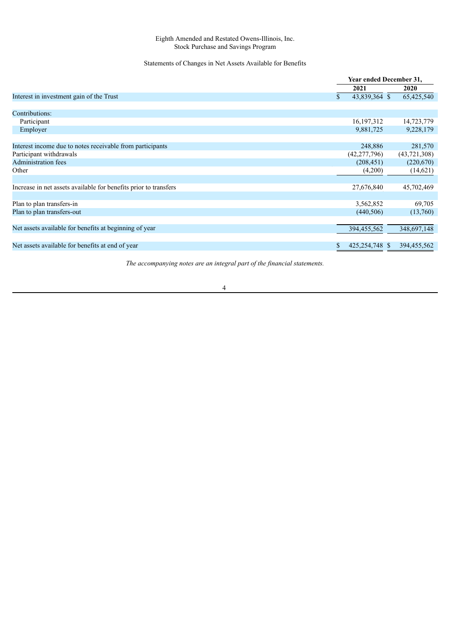# Statements of Changes in Net Assets Available for Benefits

<span id="page-4-0"></span>

|                                                                  | Year ended December 31, |                |  |                |
|------------------------------------------------------------------|-------------------------|----------------|--|----------------|
|                                                                  |                         | 2021           |  | 2020           |
| Interest in investment gain of the Trust                         | \$                      | 43,839,364 \$  |  | 65,425,540     |
|                                                                  |                         |                |  |                |
| Contributions:                                                   |                         |                |  |                |
| Participant                                                      |                         | 16,197,312     |  | 14,723,779     |
| Employer                                                         |                         | 9,881,725      |  | 9,228,179      |
|                                                                  |                         |                |  |                |
| Interest income due to notes receivable from participants        |                         | 248,886        |  | 281,570        |
| Participant withdrawals                                          |                         | (42, 277, 796) |  | (43, 721, 308) |
| <b>Administration fees</b>                                       |                         | (208, 451)     |  | (220,670)      |
| Other                                                            |                         | (4,200)        |  | (14,621)       |
|                                                                  |                         |                |  |                |
| Increase in net assets available for benefits prior to transfers |                         | 27,676,840     |  | 45,702,469     |
|                                                                  |                         |                |  |                |
| Plan to plan transfers-in                                        |                         | 3,562,852      |  | 69,705         |
| Plan to plan transfers-out                                       |                         | (440, 506)     |  | (13,760)       |
|                                                                  |                         |                |  |                |
| Net assets available for benefits at beginning of year           |                         | 394,455,562    |  | 348,697,148    |
|                                                                  |                         |                |  |                |
| Net assets available for benefits at end of year                 | \$                      | 425,254,748 \$ |  | 394,455,562    |

*The accompanying notes are an integral part of the financial statements.*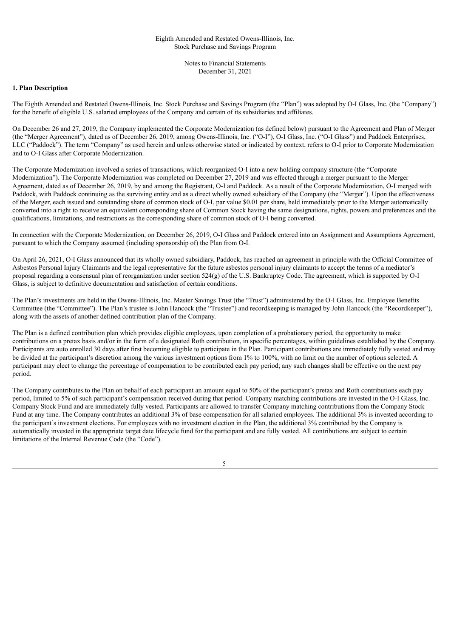Notes to Financial Statements December 31, 2021

#### <span id="page-5-0"></span>**1. Plan Description**

The Eighth Amended and Restated Owens-Illinois, Inc. Stock Purchase and Savings Program (the "Plan") was adopted by O-I Glass, Inc. (the "Company") for the benefit of eligible U.S. salaried employees of the Company and certain of its subsidiaries and affiliates.

On December 26 and 27, 2019, the Company implemented the Corporate Modernization (as defined below) pursuant to the Agreement and Plan of Merger (the "Merger Agreement"), dated as of December 26, 2019, among Owens-Illinois, Inc. ("O-I"), O-I Glass, Inc. ("O-I Glass") and Paddock Enterprises, LLC ("Paddock"). The term "Company" as used herein and unless otherwise stated or indicated by context, refers to O-I prior to Corporate Modernization and to O-I Glass after Corporate Modernization.

The Corporate Modernization involved a series of transactions, which reorganized O-I into a new holding company structure (the "Corporate Modernization"). The Corporate Modernization was completed on December 27, 2019 and was effected through a merger pursuant to the Merger Agreement, dated as of December 26, 2019, by and among the Registrant, O-I and Paddock. As a result of the Corporate Modernization, O-I merged with Paddock, with Paddock continuing as the surviving entity and as a direct wholly owned subsidiary of the Company (the "Merger"). Upon the effectiveness of the Merger, each issued and outstanding share of common stock of O-I, par value \$0.01 per share, held immediately prior to the Merger automatically converted into a right to receive an equivalent corresponding share of Common Stock having the same designations, rights, powers and preferences and the qualifications, limitations, and restrictions as the corresponding share of common stock of O-I being converted.

In connection with the Corporate Modernization, on December 26, 2019, O-I Glass and Paddock entered into an Assignment and Assumptions Agreement, pursuant to which the Company assumed (including sponsorship of) the Plan from O-I.

On April 26, 2021, O-I Glass announced that its wholly owned subsidiary, Paddock, has reached an agreement in principle with the Official Committee of Asbestos Personal Injury Claimants and the legal representative for the future asbestos personal injury claimants to accept the terms of a mediator's proposal regarding a consensual plan of reorganization under section 524(g) of the U.S. Bankruptcy Code. The agreement, which is supported by O-I Glass, is subject to definitive documentation and satisfaction of certain conditions.

The Plan's investments are held in the Owens-Illinois, Inc. Master Savings Trust (the "Trust") administered by the O-I Glass, Inc. Employee Benefits Committee (the "Committee"). The Plan's trustee is John Hancock (the "Trustee") and recordkeeping is managed by John Hancock (the "Recordkeeper"), along with the assets of another defined contribution plan of the Company.

The Plan is a defined contribution plan which provides eligible employees, upon completion of a probationary period, the opportunity to make contributions on a pretax basis and/or in the form of a designated Roth contribution, in specific percentages, within guidelines established by the Company. Participants are auto enrolled 30 days after first becoming eligible to participate in the Plan. Participant contributions are immediately fully vested and may be divided at the participant's discretion among the various investment options from 1% to 100%, with no limit on the number of options selected. A participant may elect to change the percentage of compensation to be contributed each pay period; any such changes shall be effective on the next pay period.

The Company contributes to the Plan on behalf of each participant an amount equal to 50% of the participant's pretax and Roth contributions each pay period, limited to 5% of such participant's compensation received during that period. Company matching contributions are invested in the O-I Glass, Inc. Company Stock Fund and are immediately fully vested. Participants are allowed to transfer Company matching contributions from the Company Stock Fund at any time. The Company contributes an additional 3% of base compensation for all salaried employees. The additional 3% is invested according to the participant's investment elections. For employees with no investment election in the Plan, the additional 3% contributed by the Company is automatically invested in the appropriate target date lifecycle fund for the participant and are fully vested. All contributions are subject to certain limitations of the Internal Revenue Code (the "Code").

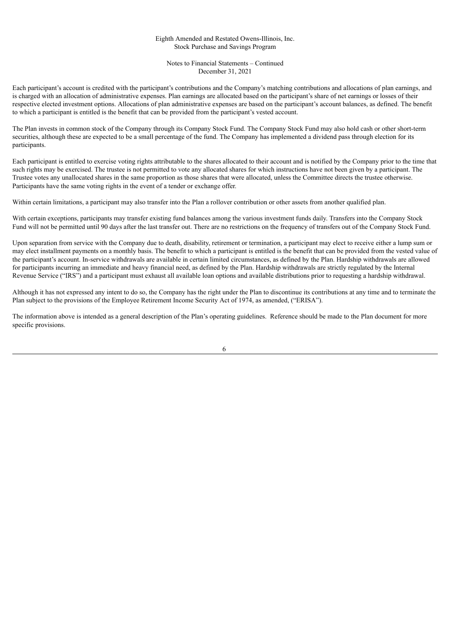Notes to Financial Statements – Continued December 31, 2021

Each participant's account is credited with the participant's contributions and the Company's matching contributions and allocations of plan earnings, and is charged with an allocation of administrative expenses. Plan earnings are allocated based on the participant's share of net earnings or losses of their respective elected investment options. Allocations of plan administrative expenses are based on the participant's account balances, as defined. The benefit to which a participant is entitled is the benefit that can be provided from the participant's vested account.

The Plan invests in common stock of the Company through its Company Stock Fund. The Company Stock Fund may also hold cash or other short-term securities, although these are expected to be a small percentage of the fund. The Company has implemented a dividend pass through election for its participants.

Each participant is entitled to exercise voting rights attributable to the shares allocated to their account and is notified by the Company prior to the time that such rights may be exercised. The trustee is not permitted to vote any allocated shares for which instructions have not been given by a participant. The Trustee votes any unallocated shares in the same proportion as those shares that were allocated, unless the Committee directs the trustee otherwise. Participants have the same voting rights in the event of a tender or exchange offer.

Within certain limitations, a participant may also transfer into the Plan a rollover contribution or other assets from another qualified plan.

With certain exceptions, participants may transfer existing fund balances among the various investment funds daily. Transfers into the Company Stock Fund will not be permitted until 90 days after the last transfer out. There are no restrictions on the frequency of transfers out of the Company Stock Fund.

Upon separation from service with the Company due to death, disability, retirement or termination, a participant may elect to receive either a lump sum or may elect installment payments on a monthly basis. The benefit to which a participant is entitled is the benefit that can be provided from the vested value of the participant's account. In-service withdrawals are available in certain limited circumstances, as defined by the Plan. Hardship withdrawals are allowed for participants incurring an immediate and heavy financial need, as defined by the Plan. Hardship withdrawals are strictly regulated by the Internal Revenue Service ("IRS") and a participant must exhaust all available loan options and available distributions prior to requesting a hardship withdrawal.

Although it has not expressed any intent to do so, the Company has the right under the Plan to discontinue its contributions at any time and to terminate the Plan subject to the provisions of the Employee Retirement Income Security Act of 1974, as amended, ("ERISA").

The information above is intended as a general description of the Plan's operating guidelines. Reference should be made to the Plan document for more specific provisions.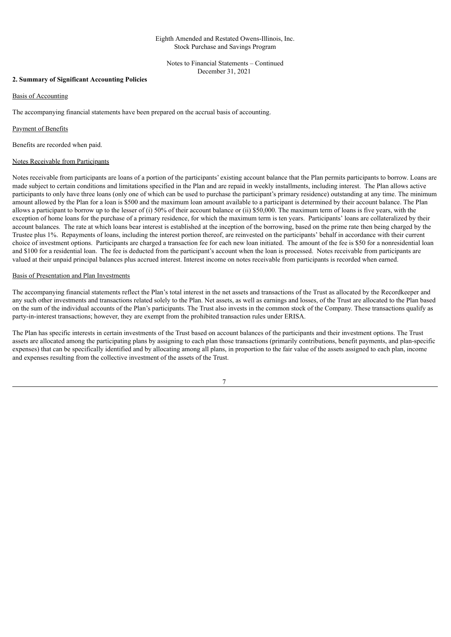Notes to Financial Statements – Continued December 31, 2021

### **2. Summary of Significant Accounting Policies**

#### Basis of Accounting

The accompanying financial statements have been prepared on the accrual basis of accounting.

#### Payment of Benefits

Benefits are recorded when paid.

#### Notes Receivable from Participants

Notes receivable from participants are loans of a portion of the participants' existing account balance that the Plan permits participants to borrow. Loans are made subject to certain conditions and limitations specified in the Plan and are repaid in weekly installments, including interest. The Plan allows active participants to only have three loans (only one of which can be used to purchase the participant's primary residence) outstanding at any time. The minimum amount allowed by the Plan for a loan is \$500 and the maximum loan amount available to a participant is determined by their account balance. The Plan allows a participant to borrow up to the lesser of (i) 50% of their account balance or (ii) \$50,000. The maximum term of loans is five years, with the exception of home loans for the purchase of a primary residence, for which the maximum term is ten years. Participants' loans are collateralized by their account balances. The rate at which loans bear interest is established at the inception of the borrowing, based on the prime rate then being charged by the Trustee plus 1%. Repayments of loans, including the interest portion thereof, are reinvested on the participants' behalf in accordance with their current choice of investment options. Participants are charged a transaction fee for each new loan initiated. The amount of the fee is \$50 for a nonresidential loan and \$100 for a residential loan. The fee is deducted from the participant's account when the loan is processed. Notes receivable from participants are valued at their unpaid principal balances plus accrued interest. Interest income on notes receivable from participants is recorded when earned.

#### Basis of Presentation and Plan Investments

The accompanying financial statements reflect the Plan's total interest in the net assets and transactions of the Trust as allocated by the Recordkeeper and any such other investments and transactions related solely to the Plan. Net assets, as well as earnings and losses, of the Trust are allocated to the Plan based on the sum of the individual accounts of the Plan's participants. The Trust also invests in the common stock of the Company. These transactions qualify as party-in-interest transactions; however, they are exempt from the prohibited transaction rules under ERISA.

The Plan has specific interests in certain investments of the Trust based on account balances of the participants and their investment options. The Trust assets are allocated among the participating plans by assigning to each plan those transactions (primarily contributions, benefit payments, and plan-specific expenses) that can be specifically identified and by allocating among all plans, in proportion to the fair value of the assets assigned to each plan, income and expenses resulting from the collective investment of the assets of the Trust.

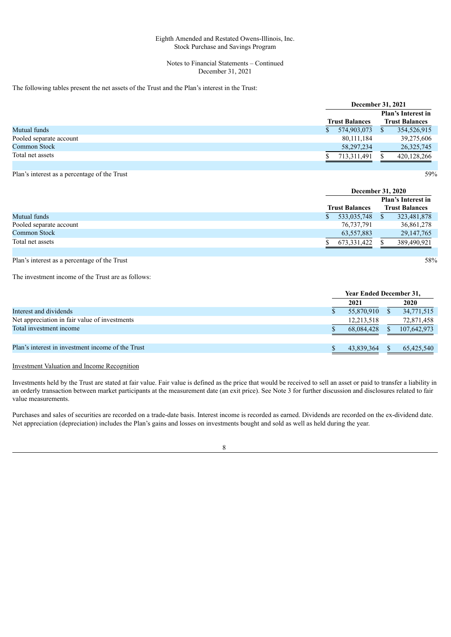#### Notes to Financial Statements – Continued December 31, 2021

### The following tables present the net assets of the Trust and the Plan's interest in the Trust:

|                         |                       | December 31, 2021         |  |  |
|-------------------------|-----------------------|---------------------------|--|--|
|                         |                       | <b>Plan's Interest in</b> |  |  |
|                         | <b>Trust Balances</b> | <b>Trust Balances</b>     |  |  |
| Mutual funds            | 574,903,073           | 354,526,915               |  |  |
| Pooled separate account | 80, 111, 184          | 39,275,606                |  |  |
| <b>Common Stock</b>     | 58, 297, 234          | 26, 325, 745              |  |  |
| Total net assets        | 713,311,491           | 420,128,266               |  |  |
|                         |                       |                           |  |  |

Plan's interest as a percentage of the Trust 59%

|                                              |                       | <b>December 31, 2020</b>  |
|----------------------------------------------|-----------------------|---------------------------|
|                                              |                       | <b>Plan's Interest in</b> |
|                                              | <b>Trust Balances</b> | <b>Trust Balances</b>     |
| Mutual funds                                 | 533,035,748           | 323,481,878               |
| Pooled separate account                      | 76,737,791            | 36,861,278                |
| <b>Common Stock</b>                          | 63,557,883            | 29, 147, 765              |
| Total net assets                             | 673,331,422           | 389,490,921               |
|                                              |                       |                           |
| Plan's interest as a percentage of the Trust |                       | 58%                       |

The investment income of the Trust are as follows:

|                                                   | <b>Year Ended December 31,</b> |  |             |
|---------------------------------------------------|--------------------------------|--|-------------|
|                                                   | 2021                           |  | 2020        |
| Interest and dividends                            | 55,870,910                     |  | 34,771,515  |
| Net appreciation in fair value of investments     | 12,213,518                     |  | 72,871,458  |
| Total investment income                           | 68.084.428                     |  | 107,642,973 |
|                                                   |                                |  |             |
| Plan's interest in investment income of the Trust | 43.839.364                     |  | 65,425,540  |

### Investment Valuation and Income Recognition

Investments held by the Trust are stated at fair value. Fair value is defined as the price that would be received to sell an asset or paid to transfer a liability in an orderly transaction between market participants at the measurement date (an exit price). See Note 3 for further discussion and disclosures related to fair value measurements.

Purchases and sales of securities are recorded on a trade-date basis. Interest income is recorded as earned. Dividends are recorded on the ex-dividend date. Net appreciation (depreciation) includes the Plan's gains and losses on investments bought and sold as well as held during the year.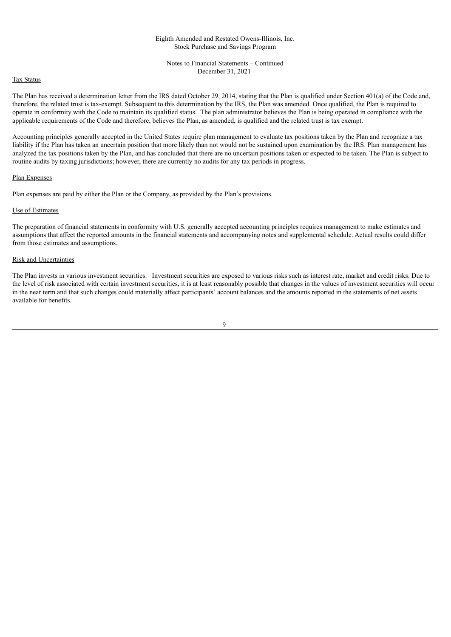Notes to Financial Statements – Continued December 31, 2021

# Tax Status

The Plan has received a determination letter from the IRS dated October 29, 2014, stating that the Plan is qualified under Section 401(a) of the Code and, therefore, the related trust is tax-exempt. Subsequent to this determination by the IRS, the Plan was amended. Once qualified, the Plan is required to operate in conformity with the Code to maintain its qualified status. The plan administrator believes the Plan is being operated in compliance with the applicable requirements of the Code and therefore, believes the Plan, as amended, is qualified and the related trust is tax exempt.

Accounting principles generally accepted in the United States require plan management to evaluate tax positions taken by the Plan and recognize a tax liability if the Plan has taken an uncertain position that more likely than not would not be sustained upon examination by the IRS. Plan management has analyzed the tax positions taken by the Plan, and has concluded that there are no uncertain positions taken or expected to be taken. The Plan is subject to routine audits by taxing jurisdictions; however, there are currently no audits for any tax periods in progress.

## Plan Expenses

Plan expenses are paid by either the Plan or the Company, as provided by the Plan's provisions.

#### Use of Estimates

The preparation of financial statements in conformity with U.S. generally accepted accounting principles requires management to make estimates and assumptions that affect the reported amounts in the financial statements and accompanying notes and supplemental schedule. Actual results could differ from those estimates and assumptions.

#### Risk and Uncertainties

The Plan invests in various investment securities. Investment securities are exposed to various risks such as interest rate, market and credit risks. Due to the level of risk associated with certain investment securities, it is at least reasonably possible that changes in the values of investment securities will occur in the near term and that such changes could materially affect participants' account balances and the amounts reported in the statements of net assets available for benefits.

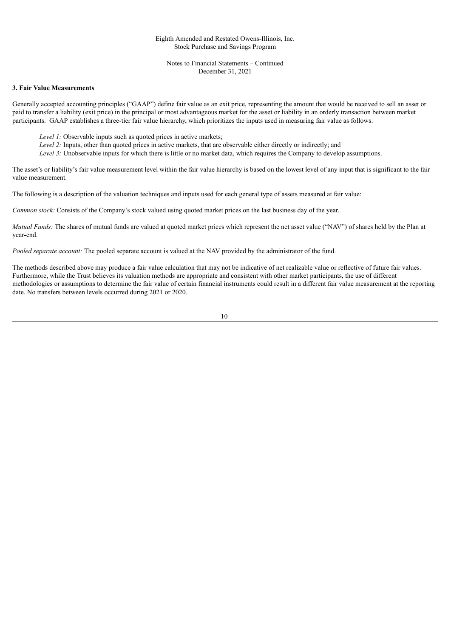Notes to Financial Statements – Continued December 31, 2021

# **3. Fair Value Measurements**

Generally accepted accounting principles ("GAAP") define fair value as an exit price, representing the amount that would be received to sell an asset or paid to transfer a liability (exit price) in the principal or most advantageous market for the asset or liability in an orderly transaction between market participants. GAAP establishes a three-tier fair value hierarchy, which prioritizes the inputs used in measuring fair value as follows:

- *Level 1:* Observable inputs such as quoted prices in active markets;
- *Level 2:* Inputs, other than quoted prices in active markets, that are observable either directly or indirectly; and
- *Level 3:* Unobservable inputs for which there is little or no market data, which requires the Company to develop assumptions.

The asset's or liability's fair value measurement level within the fair value hierarchy is based on the lowest level of any input that is significant to the fair value measurement.

The following is a description of the valuation techniques and inputs used for each general type of assets measured at fair value:

*Common stock:* Consists of the Company's stock valued using quoted market prices on the last business day of the year.

*Mutual Funds:* The shares of mutual funds are valued at quoted market prices which represent the net asset value ("NAV") of shares held by the Plan at year-end.

*Pooled separate account:* The pooled separate account is valued at the NAV provided by the administrator of the fund.

The methods described above may produce a fair value calculation that may not be indicative of net realizable value or reflective of future fair values. Furthermore, while the Trust believes its valuation methods are appropriate and consistent with other market participants, the use of different methodologies or assumptions to determine the fair value of certain financial instruments could result in a different fair value measurement at the reporting date. No transfers between levels occurred during 2021 or 2020.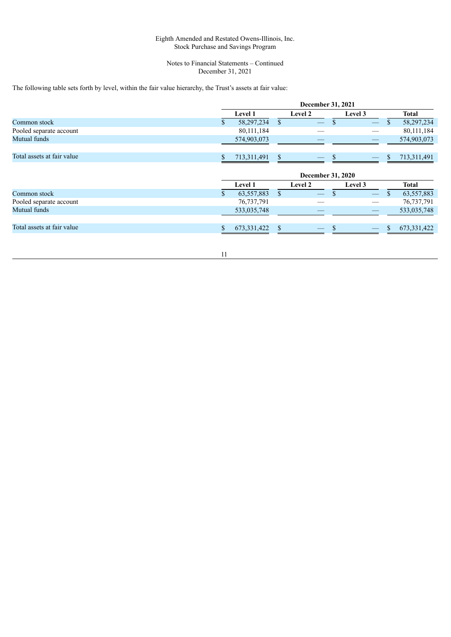#### Notes to Financial Statements – Continued December 31, 2021

The following table sets forth by level, within the fair value hierarchy, the Trust's assets at fair value:

|                            | December 31, 2021 |              |    |                          |               |                                |                   |
|----------------------------|-------------------|--------------|----|--------------------------|---------------|--------------------------------|-------------------|
|                            |                   | Level 1      |    | <b>Level 2</b>           |               | Level 3                        | <b>Total</b>      |
| Common stock               | \$                | 58,297,234   | \$ |                          |               |                                | \$<br>58,297,234  |
| Pooled separate account    |                   | 80,111,184   |    |                          |               |                                | 80,111,184        |
| Mutual funds               |                   | 574,903,073  |    |                          |               |                                | 574,903,073       |
| Total assets at fair value | \$                | 713,311,491  | \$ |                          | <sup>\$</sup> | $\qquad \qquad \longleftarrow$ | \$<br>713,311,491 |
|                            |                   |              |    | <b>December 31, 2020</b> |               |                                |                   |
|                            |                   | Level 1      |    | Level 2                  |               | Level 3                        | <b>Total</b>      |
| Common stock               |                   | 63,557,883   | \$ |                          |               |                                | \$<br>63,557,883  |
|                            |                   |              |    |                          |               |                                |                   |
| Pooled separate account    |                   | 76, 737, 791 |    |                          |               |                                | 76, 737, 791      |
| Mutual funds               |                   | 533,035,748  |    |                          |               |                                | 533,035,748       |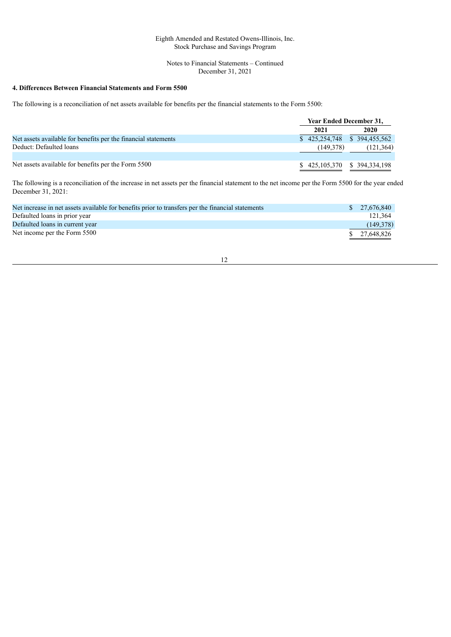#### Notes to Financial Statements – Continued December 31, 2021

# **4. Differences Between Financial Statements and Form 5500**

The following is a reconciliation of net assets available for benefits per the financial statements to the Form 5500:

|                                                                | <b>Year Ended December 31,</b>    |            |
|----------------------------------------------------------------|-----------------------------------|------------|
|                                                                | 2021                              | 2020       |
| Net assets available for benefits per the financial statements | $$425,254,748$ $$394,455,562$     |            |
| Deduct: Defaulted loans                                        | (149.378)                         | (121, 364) |
|                                                                |                                   |            |
| Net assets available for benefits per the Form 5500            | $$425,105,370 \quad $394,334,198$ |            |

The following is a reconciliation of the increase in net assets per the financial statement to the net income per the Form 5500 for the year ended December 31, 2021:

| Net increase in net assets available for benefits prior to transfers per the financial statements | \$ 27,676,840 |
|---------------------------------------------------------------------------------------------------|---------------|
| Defaulted loans in prior year                                                                     | 121.364       |
| Defaulted loans in current year                                                                   | (149,378)     |
| Net income per the Form 5500                                                                      | \$ 27.648.826 |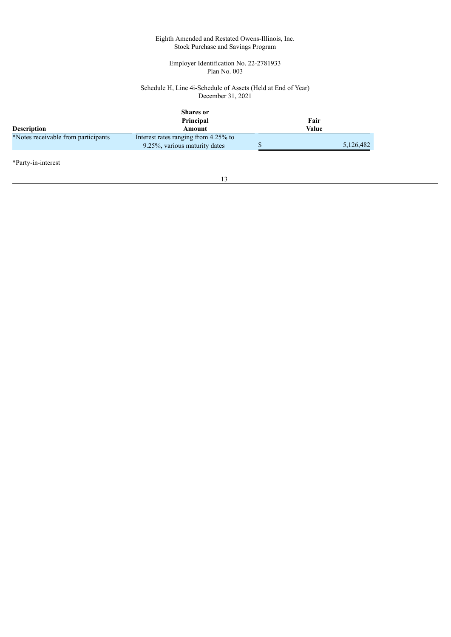#### Employer Identification No. 22-2781933 Plan No. 003

#### Schedule H, Line 4i-Schedule of Assets (Held at End of Year) December 31, 2021

<span id="page-13-0"></span>

| <b>Description</b>                  | <b>Shares</b> or<br>Principal<br>Amount                               | Fair<br>Value |
|-------------------------------------|-----------------------------------------------------------------------|---------------|
| *Notes receivable from participants | Interest rates ranging from 4.25% to<br>9.25%, various maturity dates | 5,126,482     |

\*Party-in-interest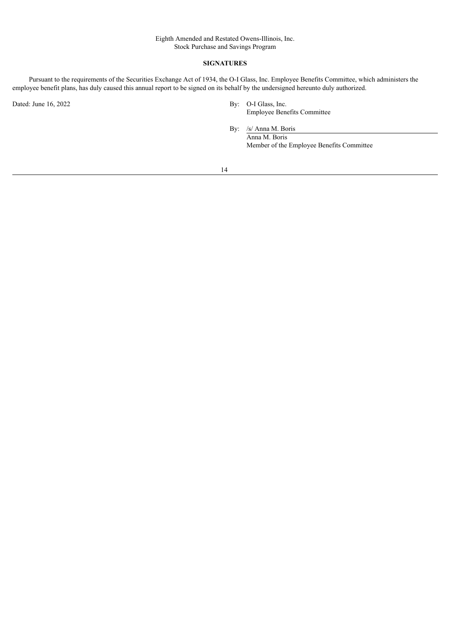#### **SIGNATURES**

Pursuant to the requirements of the Securities Exchange Act of 1934, the O-I Glass, Inc. Employee Benefits Committee, which administers the employee benefit plans, has duly caused this annual report to be signed on its behalf by the undersigned hereunto duly authorized.

Dated: June 16, 2022 By: O-I Glass, Inc.

Employee Benefits Committee

By: /s/ Anna M. Boris Anna M. Boris Member of the Employee Benefits Committee